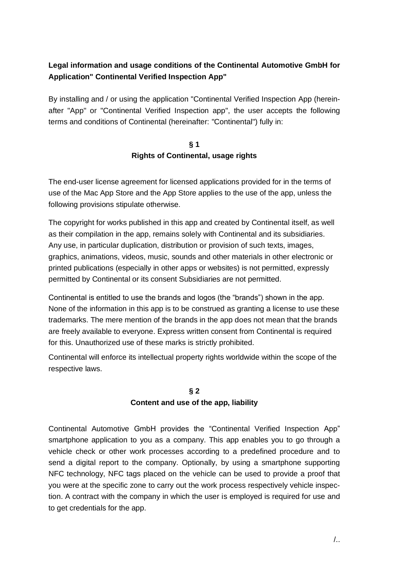# **Legal information and usage conditions of the Continental Automotive GmbH for Application" Continental Verified Inspection App"**

By installing and / or using the application "Continental Verified Inspection App (hereinafter "App" or "Continental Verified Inspection app", the user accepts the following terms and conditions of Continental (hereinafter: "Continental") fully in:

### **§ 1 Rights of Continental, usage rights**

The end-user license agreement for licensed applications provided for in the terms of use of the Mac App Store and the App Store applies to the use of the app, unless the following provisions stipulate otherwise.

The copyright for works published in this app and created by Continental itself, as well as their compilation in the app, remains solely with Continental and its subsidiaries. Any use, in particular duplication, distribution or provision of such texts, images, graphics, animations, videos, music, sounds and other materials in other electronic or printed publications (especially in other apps or websites) is not permitted, expressly permitted by Continental or its consent Subsidiaries are not permitted.

Continental is entitled to use the brands and logos (the "brands") shown in the app. None of the information in this app is to be construed as granting a license to use these trademarks. The mere mention of the brands in the app does not mean that the brands are freely available to everyone. Express written consent from Continental is required for this. Unauthorized use of these marks is strictly prohibited.

Continental will enforce its intellectual property rights worldwide within the scope of the respective laws.

#### **§ 2**

## **Content and use of the app, liability**

Continental Automotive GmbH provides the "Continental Verified Inspection App" smartphone application to you as a company. This app enables you to go through a vehicle check or other work processes according to a predefined procedure and to send a digital report to the company. Optionally, by using a smartphone supporting NFC technology, NFC tags placed on the vehicle can be used to provide a proof that you were at the specific zone to carry out the work process respectively vehicle inspection. A contract with the company in which the user is employed is required for use and to get credentials for the app.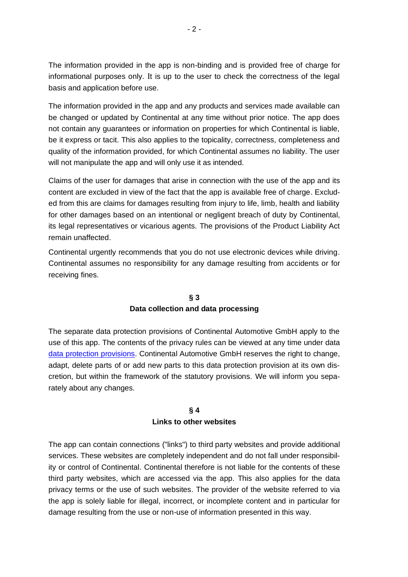The information provided in the app is non-binding and is provided free of charge for informational purposes only. It is up to the user to check the correctness of the legal basis and application before use.

The information provided in the app and any products and services made available can be changed or updated by Continental at any time without prior notice. The app does not contain any guarantees or information on properties for which Continental is liable, be it express or tacit. This also applies to the topicality, correctness, completeness and quality of the information provided, for which Continental assumes no liability. The user will not manipulate the app and will only use it as intended.

Claims of the user for damages that arise in connection with the use of the app and its content are excluded in view of the fact that the app is available free of charge. Excluded from this are claims for damages resulting from injury to life, limb, health and liability for other damages based on an intentional or negligent breach of duty by Continental, its legal representatives or vicarious agents. The provisions of the Product Liability Act remain unaffected.

Continental urgently recommends that you do not use electronic devices while driving. Continental assumes no responsibility for any damage resulting from accidents or for receiving fines.

#### **§ 3**

#### **Data collection and data processing**

The separate data protection provisions of Continental Automotive GmbH apply to the use of this app. The contents of the privacy rules can be viewed at any time under data data [protection provisions.](https://translate.google.com/translate?hl=de&prev=_t&sl=de&tl=en&u=https://www.fleet.vdo.de/footer-navigation/datenschutzerklaerung-driver-app/) Continental Automotive GmbH reserves the right to change, adapt, delete parts of or add new parts to this data protection provision at its own discretion, but within the framework of the statutory provisions. We will inform you separately about any changes.

#### **§ 4 Links to other websites**

The app can contain connections ("links") to third party websites and provide additional services. These websites are completely independent and do not fall under responsibility or control of Continental. Continental therefore is not liable for the contents of these third party websites, which are accessed via the app. This also applies for the data privacy terms or the use of such websites. The provider of the website referred to via the app is solely liable for illegal, incorrect, or incomplete content and in particular for damage resulting from the use or non-use of information presented in this way.